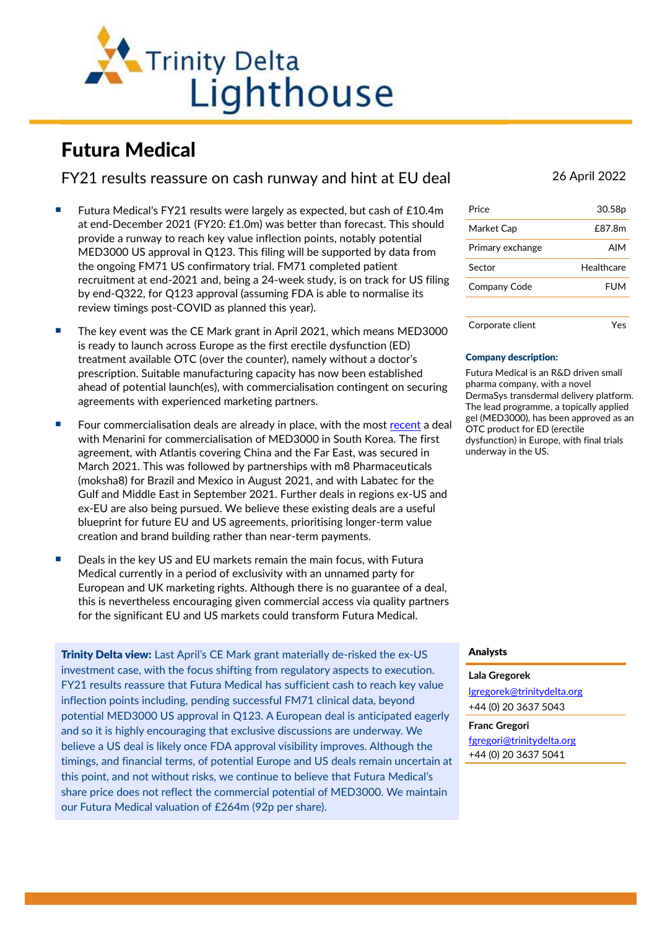

# Futura Medical

FY21 results reassure on cash runway and hint at EU deal 26 April 2022

- Futura Medical's FY21 results were largely as expected, but cash of £10.4m at end-December 2021 (FY20: £1.0m) was better than forecast. This should provide a runway to reach key value inflection points, notably potential MED3000 US approval in Q123. This filing will be supported by data from the ongoing FM71 US confirmatory trial. FM71 completed patient recruitment at end-2021 and, being a 24-week study, is on track for US filing by end-Q322, for Q123 approval (assuming FDA is able to normalise its review timings post-COVID as planned this year).
- The key event was the CE Mark grant in April 2021, which means MED3000 is ready to launch across Europe as the first erectile dysfunction (ED) treatment available OTC (over the counter), namely without a doctor's prescription. Suitable manufacturing capacity has now been established ahead of potential launch(es), with commercialisation contingent on securing agreements with experienced marketing partners.
- Four commercialisation deals are already in place, with the most [recent](https://www.trinitydelta.org/wp-content/uploads/2022/03/Futura-Medical-Lighthouse-220323.pdf) a deal with Menarini for commercialisation of MED3000 in South Korea. The first agreement, with Atlantis covering China and the Far East, was secured in March 2021. This was followed by partnerships with m8 Pharmaceuticals (moksha8) for Brazil and Mexico in August 2021, and with Labatec for the Gulf and Middle East in September 2021. Further deals in regions ex-US and ex-EU are also being pursued. We believe these existing deals are a useful blueprint for future EU and US agreements, prioritising longer-term value creation and brand building rather than near-term payments.
- Deals in the key US and EU markets remain the main focus, with Futura Medical currently in a period of exclusivity with an unnamed party for European and UK marketing rights. Although there is no guarantee of a deal, this is nevertheless encouraging given commercial access via quality partners for the significant EU and US markets could transform Futura Medical.

**Trinity Delta view:** Last April's CE Mark grant materially de-risked the ex-US investment case, with the focus shifting from regulatory aspects to execution. FY21 results reassure that Futura Medical has sufficient cash to reach key value inflection points including, pending successful FM71 clinical data, beyond potential MED3000 US approval in Q123. A European deal is anticipated eagerly and so it is highly encouraging that exclusive discussions are underway. We believe a US deal is likely once FDA approval visibility improves. Although the timings, and financial terms, of potential Europe and US deals remain uncertain at this point, and not without risks, we continue to believe that Futura Medical's share price does not reflect the commercial potential of MED3000. We maintain our Futura Medical valuation of £264m (92p per share).

| Price            | 30.58p     |
|------------------|------------|
| Market Cap       | £87.8m     |
| Primary exchange | AIM        |
| Sector           | Healthcare |
| Company Code     | <b>FUM</b> |
|                  |            |
| Corporate client | Yes        |

### Company description:

Futura Medical is an R&D driven small pharma company, with a novel DermaSys transdermal delivery platform. The lead programme, a topically applied gel (MED3000), has been approved as an OTC product for ED (erectile dysfunction) in Europe, with final trials underway in the US.

## Analysts

# **Lala Gregorek**

[lgregorek@trinitydelta.org](mailto:lgregorek@trinitydelta.org) +44 (0) 20 3637 5043

**Franc Gregori** [fgregori@trinitydelta.org](mailto:fgregori@trinitydelta.org) +44 (0) 20 3637 5041